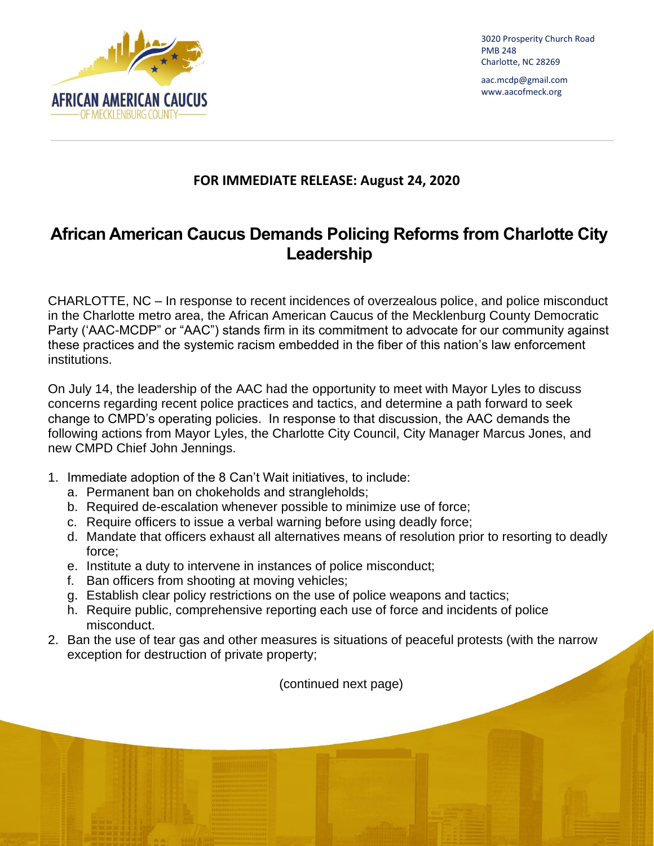

3020 Prosperity Church Road PMB 248 Charlotte, NC 28269

aac.mcdp@gmail.com www.aacofmeck.org

## **FOR IMMEDIATE RELEASE: August 24, 2020**

## **African American Caucus Demands Policing Reforms from Charlotte City Leadership**

CHARLOTTE, NC – In response to recent incidences of overzealous police, and police misconduct in the Charlotte metro area, the African American Caucus of the Mecklenburg County Democratic Party ('AAC-MCDP" or "AAC") stands firm in its commitment to advocate for our community against these practices and the systemic racism embedded in the fiber of this nation's law enforcement institutions.

On July 14, the leadership of the AAC had the opportunity to meet with Mayor Lyles to discuss concerns regarding recent police practices and tactics, and determine a path forward to seek change to CMPD's operating policies. In response to that discussion, the AAC demands the following actions from Mayor Lyles, the Charlotte City Council, City Manager Marcus Jones, and new CMPD Chief John Jennings.

- 1. Immediate adoption of the 8 Can't Wait initiatives, to include:
	- a. Permanent ban on chokeholds and strangleholds;
	- b. Required de-escalation whenever possible to minimize use of force;
	- c. Require officers to issue a verbal warning before using deadly force;
	- d. Mandate that officers exhaust all alternatives means of resolution prior to resorting to deadly force;
	- e. Institute a duty to intervene in instances of police misconduct;
	- f. Ban officers from shooting at moving vehicles;
	- g. Establish clear policy restrictions on the use of police weapons and tactics;
	- h. Require public, comprehensive reporting each use of force and incidents of police misconduct.
- 2. Ban the use of tear gas and other measures is situations of peaceful protests (with the narrow exception for destruction of private property;

(continued next page)